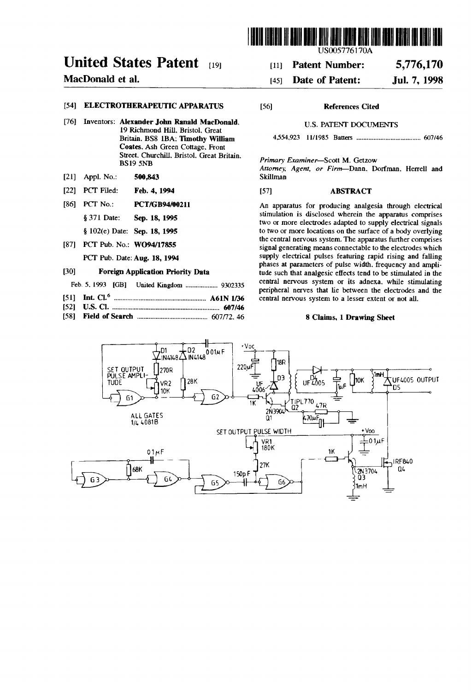

USOO5776170A

#### 5,776,170 [11] Patent Number:

#### Jul. 7, 1998 [45] Date of Patent:

# United States Patent [19]

## MacDonald et al.

## [54] ELECTROTHERAPEUTIC APPARATUS

- [76] Inventors: Alexander John Ranald MacDonald. 19 Richmond Hill, Bristol. Great Britain. BS8 lBA; Timothy William Coates. Ash Green Cottage, Front Street. Churchill. Bristol. Great Britain. BS 19 SNB
- [21] Appl. No.: 500,843
- [22] PCT Filed: Feb. 4, 1994
- [86] PCT No.: **PCT/GB94/00211**

§ 371 Date: Sep. 18, 1995

§ 102(e) Date: Sep. 18, 1995

[87] PCT Pub. No.: WO94/17855 PCT Pub. Date: Aug. 18, 1994

#### [30] Foreign Application Priority Data

- Feb' 5. 1993 [GB] United Kingdom ................. .. 930Q335
- [51] Int Cl.6 ..................................................... .. A61N 1/36
- [52] US. Cl. 607/46
- [58] Field of Search ........................................ .. 607/72. 46

### [56] References Cited

#### U.S. PATENT DOCUMENTS

4554,923 11/1985 Batters .................................... .. 607/46

Primary Examiner—Scott M. Getzow

Attorney, Agent, or Firm-Dann, Dorfman. Herrell and Skillman

### [57] ABSTRACT

An apparatus for producing analgesia through electrical stimulation is disclosed wherein the apparatus comprises two or more electrodes adapted to supply electrical signals to two or more locations on the surface of a body overlying the central nervous system. The apparatus further comprises signal generating means connectable to the electrodes which supply electrical pulses featuring rapid rising and falling phases at parameters of pulse width. frequency and ampli tude such that analgesic effects tend to be stimulated in the central nervous system or its adnexa. while stimulating peripheral nerves that lie between the electrodes and the central nervous system to a lesser extent or not all.

#### 8 Claims, 1 Drawing Sheet

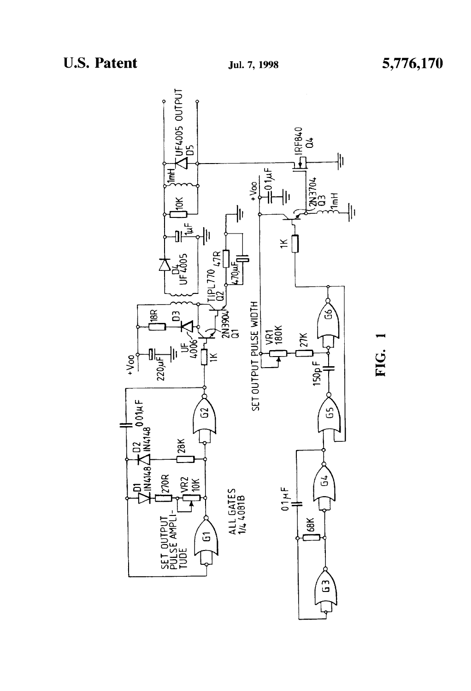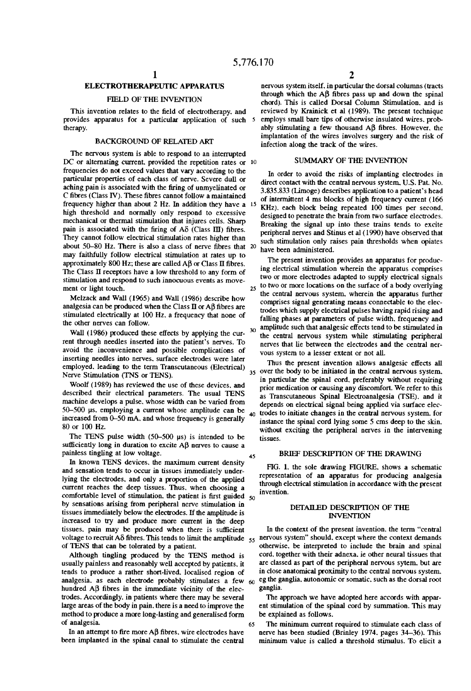## ELECTROTHERAPEUTIC APPARATUS

#### FIELD OF THE INVENTION

This invention relates to the field of electrotherapy, and provides apparatus for a particular application of such therapy.

#### BACKGROUND OF RELATED ART

The nervous system is able to respond to an interrupted DC or alternating current, provided the repetition rates or 10 frequencies do not exceed values that vary according to the particular properties of each class of nerve. Severe dull or aching pain is associated with the firing of unmyelinated or C fibres (Class IV). These fibres cannot follow a maintained frequency higher than about 2 Hz. In addition they have a 15 high threshold and normally only respond to excessive mechanical or thermal stimulation that injures cells. Sharp pain is associated with the firing of  $A\delta$  (Class III) fibres. They cannot follow electrical stimulation rates higher than about  $50-80$  Hz. There is also a class of nerve fibres that 20 may faithfully follow electrical stimulation at rates up to approximately  $800$  Hz; these are called AB or Class II fibres. The Class  $\Pi$  receptors have a low threshold to any form of stimulation and respond to such innocuous events as move ment or light touch.

Melzack and Wall (1965) and Wall (1986) describe how analgesia can be produced when the Class  $II$  or A $\beta$  fibres are stimulated electrically at 100 Hz. a frequency that none of the other nerves can follow.

Wall (1986) produced these effects by applying the current through needles inserted into the patient's nerves. To avoid the inconvenience and possible complications of inserting needles into nerves. surface electrodes were later employed. leading to the term Transcutaneous (Electrical) Nerve Stimulation (TNS or TENS).

Woolf (1989) has reviewed the use of these devices. and described their electrical parameters. The usual TENS machine develops a pulse. whose width can be varied from 50-500 us. employing a current Whose amplitude can be increased from 0-50 mA. and whose frequency is generally 80 or 100 Hz.

The TENS pulse width (50-500 us) is intended to be sufficiently long in duration to excite  $\overrightarrow{AB}$  nerves to cause a painless tingling at low voltage.

In known TENS devices. the maximum current density and sensation tends to occur in tissues immediately under lying the electrodes. and only a proportion of the applied current reaches the deep tissues. Thus. when choosing a comfortable level of stimulation, the patient is first guided  $50$ by sensations arising from peripheral nerve stimulation in tissues immediately below the electrodes. If the amplitude is increased to try and produce more current in the deep tissues, pain may be produced when there is sufficient of TENS that can be tolerated by a patient.

Although tingling produced by the TENS method is usually painless and reasonably well accepted by patients. it tends to produce a rather short-lived. localised region of analgesia, as each electrode probably stimulates a few 60 hundred  $\overrightarrow{AB}$  fibres in the immediate vicinity of the electrodes. Accordingly. in patients where there may be several large areas of the body in pain. there is a need to improve the method to produce a more long-lasting and generalised form of analgesia

In an attempt to fire more AB fibres, wire electrodes have been implanted in the spinal canal to stimulate the central

 $2$  nervous system itself, in particular the dorsal columns (tracts through which the  $\overrightarrow{AB}$  fibres pass up and down the spinal chord). This is called Dorsal Column Stimulation. and is reviewed by Krainick et al (1989). The present technique employs small bare tips of otherwise insulated wires. prob ably stimulating a few thousand  $\overrightarrow{AB}$  fibres. However, the implantation of the wires involves surgery and the risk of infection along the track of the wires.

#### SUMMARY OF THE INVENTION

In order to avoid the risks of implanting electrodes in direct contact with the central nervous system. U.S. Pat. No. 3.835.833 (Limoge) describes application to a patient's head of intermittent 4 ms blocks of high frequency current (166 KHZ). each block being repeated 100 times per second. designed to penetrate the brain from two surface electrodes. Breaking the signal up into these trains tends to excite peripheral nerves and Stinus et al ( 1990) have observed that such stimulation only raises pain thresholds when opiates have been administered.

The present invention provides an apparatus for produc ing electrical stimulation wherein the apparatus comprises two or more electrodes adapted to supply electrical signals  $_{25}$  to two or more locations on the surface of a body overlying the central nervous system. wherein the apparatus further comprises signal generating means connectable to the electrodes which supply electrical pulses having rapid rising and falling phases at parameters of pulse width. frequency and amplitude such that analgesic effects tend to be stimulated in  $30$ the central nervous system while stimulating peripheral nerves that lie between the electrodes and the central ner vous system to a lesser extent or not all.

35 over the body to be initiated in the central nervous system. Thus the present invention allows analgesic effects all in particular the spinal cord. preferably without requiring prior medication or causing any discomfort. We refer to this as Transcutaneous Spinal Electroanalgesia (TSE). and it depends on electrical signal being applied via surface elec  $40$  trodes to initiate changes in the central nervous system, for instance the spinal cord lying some 5 cms deep to the skin. without exciting the peripheral nerves in the intervening tissues.

#### BRIEF DESCRIPTION OF THE DRAWING

FIG. 1. the sole drawing FIGURE. shows a schematic representation of an apparatus for producing analgesia through electrical stimulation in accordance with the present invention.

#### DETAILED DESCRIPTION OF THE **INVENTION**

voltage to recruit A $\delta$  fibres. This tends to limit the amplitude  $55$  nervous system" should. except where the context demands In the context of the present invention. the term "central otherwise. be interpreted to include the brain and spinal cord. together with their adnexa. ie other neural tissues that are classed as part of the peripheral nervous sytem. but are in close anatomical proximity to the central nervous system. eg the ganglia. autonomic or somatic. such as the dorsal root ganglia.

> The approach we have adopted here accords with appar ent stimulation of the spinal cord by summation. This may be explained as follows.

The minimum current required to stimulate each class of nerve has been studied (Brinley 1974. pages 34-36). This minimum value is called a threshold stimulus. To elicit a

65

45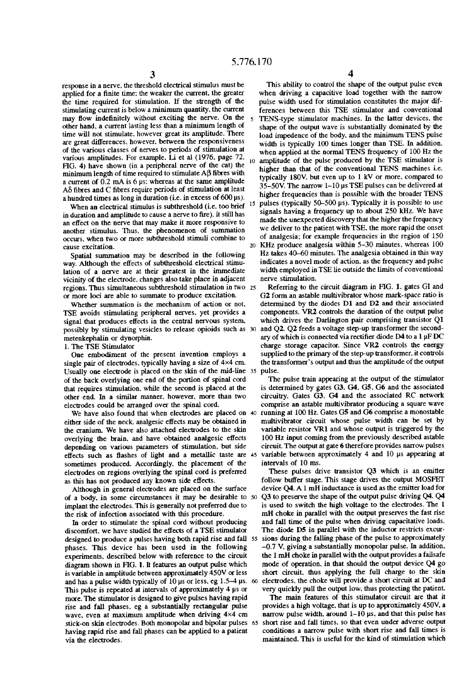$\overline{\mathbf{S}}$ 

response in a nerve. the threshold electrical stimulus must be applied for a finite time: the weaker the current, the greater the time required for stimulation. If the strength of the stimulating current is below a minimum quantity. the current may flow indefinitely without exciting the nerve. On the other hand. a current lasting less than a minimum length of time will not stimulate. however great its amplitude. There are great differences. however. between the responsiveness of the various classes of nerves to periods of stimulation at various amplitudes. For example. Li et al (1976. page 72. FIG. 4) have shown (in a peripheral nerve of the cat) the minimum length of time required to stimulate  $\mathbf{A}\mathbf{\beta}$  fibres with a current of 0.2 mA is 6 us: whereas at the same amplitude  $A\delta$  fibres and C fibres require periods of stimulation at least a hundred times as long in duration (i.e. in excess of 600 us).

When an electrical stimulus is subthreshold (i.e. too brief in duration and amplitude to cause a nerve to fire), it still has an effect on the nerve that may make it more responsive to another stimulus. Thus, the phenomenon of summation occurs. when two or more subthreshold stimuli combine to cause excitation.

Spatial summation may be described in the following way. Although the effects of subthreshold electrical stimu lation of a nerve are at their greatest in the immediate vicinity of the electrode. changes also take place in adjacent regions. Thus simultaneous subthreshold stimulation in two 25 or more loci are able to summate to produce excitation.

Whether summation is the mechanism of action or not. TSE avoids stimulating peripheral nerves. yet provides a signal that produces effects in the central nervous system. metenkephalin or dynorphin.

l. The TSE Stimulator

One embodiment of the present invention employs a single pair of electrodes. typically having a size of  $4\times4$  cm. Usually one electrode is placed on the skin of the mid-line 35 pulse. of the back overlying one end of the portion of spinal cord that requires stimulation. while the second is placed at the other end. In a similar manner. however. more than two electrodes could be arranged over the spinal cord.

We have also found that when electrodes are placed on 40 either side of the neck. analgesic effects may be obtained in the cranium. We have also attached electrodes to the skin overlying the brain. and have obtained analgesic effects depending on various parameters of stimulation. but side effects such as flashes of light and a metallic taste are 45 sometimes produced. Accordingly. the placement of the electrodes on regions overlying the spinal cord is preferred as this has not produced any known side effects.

Although in general electrodes are placed on the surface of a body. in some circumstances it may be desirable to implant the electrodes. This is generally not preferred due to the risk of infection associated with this procedure.

In order to stimulate the spinal cord without producing discomfort. we have studied the effects of a TSE stimulator designed to produce a pulses having both rapid rise and fall 55 phases. This device has been used in the following experiments. described below with reference to the circuit diagram shown in FIG. I. It features an output pulse which is variable in amplitude between approximately 450V or less and has a pulse width typically of  $10 \mu s$  or less, eg 1.5-4  $\mu s$ . 60 This pulse is repeated at intervals of approximately 4 us or more. The stimulator is designed to give pulses having rapid rise and fall phases. eg a substantially rectangular pulse wave, even at maximum amplitude when driving  $4\times4$  cm stick-on skin electrodes. Both monopolar and bipolar pulses 65 having rapid rise and fall phases can be applied to a patient via the electrodes.

10 amplitude of the pulse produced by the TSE stimulator is This ability to control the shape of the output pulse even when driving a capacitive load together with the narrow pulse width used for stimulation constitutes the major dif ferences between this TSE stimulator and conventional TENS-type stimulator machines. In the latter devices. the shape of the output wave is substantially dominated by the load impedence of the body. and the minimum TENS pulse width is typically 100 times longer than TSE. In addition. when applied at the normal TENS frequency of 100 Hz the higher than that of the conventional TENS machines i.e. typically 180V. but even up to 1 kV or more. compared to 35-50V. The narrow l-l0 us TSE pulses can be delivered at higher frequencies than is possible with the broader TENS pulses (typically  $50-500$  µs). Typically it is possible to use signals having a frequency up to about 250 kHz. We have made the unexpected discovery that the higher the frequency

20 we deliver to the patient with TSE, the more rapid the onset of analgesia; for example frequencies in the region of 150 KHz produce analgesia within 5-30 minutes, whereas 100 Hz takes 40-60 minutes. The analgesia obtained in this way indicates a novel mode of action. as the frequency and pulse width employed in TSE lie outside the limits of conventional nerve stimulation.

possibly by stimulating vesicles to release opioids such as 30 and Q2. Q2 feeds a voltage step-up transformer the second Referring to the circuit diagram in FIG. 1. gates GI and G2 form an astable multivibrator whose mark-space ratio is determined by the diodes D1 and D2 and their associated components. VR2 controls the duration of the output pulse which drives the Darlington pair comprising transistor Q1 ary of which is connected via rectifier diode D4 to a  $1 \mu$ F DC charge storage capacitor. Since VRZ controls the energy supplied to the primary of the step-up transformer. it controls the transformer's output and thus the amplitude of the output

> The pulse train appearing at the output of the stimulator is determined by gates G3. G4. G5. G6 and the associated circuitry. Gates G3. G4 and the associated RC network comprise an astable multivibrator producing a square wave running at 100 Hz. Gates G5 and G6 comprise a monostable multivibrator circuit whose pulse width can be set by variable resistor VR1 and whose output is triggered by the 100 Hz input coming from the previously described astable circuit. The output at gate 6 therefore provides narrow pulses variable between approximately 4 and 10 us appearing at intervals of 10 ms.

These pulses drive transistor Q3 which is an emitter follow buffer stage. This stage drives the output MOSFET device Q4. A 1 mH inductance is used as the emitter load for Q3 to preserve the shape of the output pulse driving Q4. Q4 is used to switch the high voltage to the electrodes. The 1 mH choke in parallel with the output preserves the fast rise and fall time of the pulse when driving capacitative loads. The diode D5 in parallel with the inductor restricts excur sions during the falling phase of the pulse to approximately —0.7 V. giving a substantially monopolar pulse. In addition. the 1 mH choke in parallel with the output provides a failsafe mode of operation. in that should the output device Q4 go short circuit. thus applying the full charge to the skin electrodes. the choke will provide a short circuit at DC and very quickly pull the output low. thus protecting the patient.

The main features of this stimulator circuit are that it provides a high voltage. that is up to approximately 450V. a narrow pulse width. around  $1-10$  us. and that this pulse has short rise and fall times. so that even under adverse output conditions a narrow pulse with short rise and fall times is maintained. This is useful for the kind of stimulation which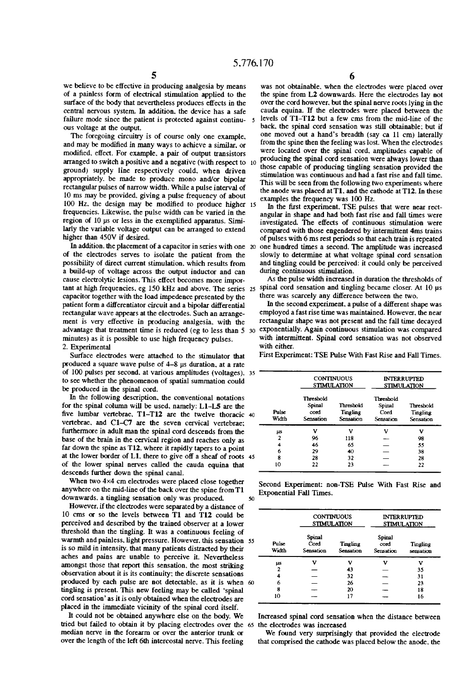5<br>we believe to be effective in producing analgesia by means of a painless form of electrical stimulation applied to the surface of the body that nevertheless produces effects in the central nervous system. In addition, the device has a safe failure mode since the patient is protected against continu ous voltage at the output.

The foregoing circuitry is of course only one example. and may be modified in many ways to achieve a similar, or modified. effect. For example. a pair of output transistors arranged to switch a positive and a negative (with respect to 10 ground) supply line respectively could. when driven appropriately. be made to produce mono and/or bipolar rectangular pulses of narrow width. While a pulse interval of 10 ms may be provided. giving a pulse frequency of about 100 Hz. the design may be modified to produce higher 15 frequencies. Likewise. the pulse width can be varied in the region of 10 us or less in the exemplified apparatus. Similarly the variable voltage output can be arranged to extend higher than 450V if desired.

In addition. the placement of a capacitor in series with one 20 of the electrodes serves to isolate the patient from the possibility of direct current stimulation. which results from a build-up of voltage across the output inductor and can cause electrolytic lesions. This effect becomes more imporcapacitor together with the load impedence presented by the patient form a differentiator circuit and a bipolar differential rectangular wave appears at the electrodes. Such an arrange ment is very effective in producing analgesia. with the advantage that treatment time is reduced (eg to less than 5 30 minutes) as it is possible to use high frequency pulses. 2. Experimental

Surface electrodes were attached to the stimulator that produced a square wave pulse of 4-8 us duration. at a rate of 100 pulses per second. at various amplitudes (voltages). to see whether the phenomenon of spatial summation could be produced in the spinal cord.

In the following description. the conventional notations for the spinal column will be used. namely: Ll-LS are the five lumbar vertebrae.  $T1-T12$  are the twelve thoracic vertebrae. and C1-C7 are the seven cervical vertebrae; furthermore in adult man the spinal cord descends from the base of the brain in the cervical region and reaches only as far down the spine as T12. where it rapidly tapers to a point at the lower border of L1. there to give off a sheaf of roots of the lower spinal nerves called the cauda equina that descends further down the spinal canal.

When two 4×4 cm electrodes were placed close together anywhere on the mid-line of the back over the spine from T1 downwards. a tingling sensation only was produced.

However. if the electrodes were separated by a distance of 10 cms or so the levels between T1 and T12 could be perceived and described by the trained observer at a lower threshold than the tingling. It was a continuous feeling of warmth and painless. light pressure. However. this sensation 55 is so mild in intensity. that many patients distracted by their aches and pains are unable to perceive it. Nevertheless amongst those that report this sensation. the most striking observation about it is its continuity; the discrete sensations produced by each pulse are not detectable, as it is when 6 tingling is present. This new feeling may be called 'spinal cord sensation' as it is only obtained when the electrodes are placed in the immediate vicinity of the spinal cord itself.

It could not be obtained anywhere else on the body. We tried but failed to obtain it by placing electrodes over the 65 the electrodes was increased median nerve in the forearm or over the anterior trunk or over the length of the left 6th intercostal nerve. This feeling

 $6$  was not obtainable. when the electrodes were placed over the spine from L2 downwards. Here the electrodes lay not over the cord however. but the spinal nerve roots lying in the cauda equina. If the electrodes were placed between the levels of Tl-Tl2 but a few ems from the mid-line of the back. the spinal cord sensation was still obtainable: but if one moved out a hand's breadth (say ca 11 cm) laterally from the spine then the feeling was lost. When the electrodes were located over the spinal cord. amplitudes capable of producing the spinal cord sensation were always lower than those capable of producing tingling sensation provided the stimulation was continuous and had a fast rise and fall time. This will be seen from the following two experiments where the anode was placed at T1. and the cathode at T12. In these examples the frequency was 100 Hz.

In the first experiment. TSE pulses that were near rectangular in shape and had both fast rise and fall times were investigated. The effects of continuous stimulation were compared with those engendered by intermittent 4ms trains of pulses with 6 ms rest periods so that each train is repeated one hundred times a second. The amplitude was increased slowly to determine at what voltage spinal cord sensation and tingling could be perceived: it could only be perceived during continuous stimulation.

tant at high frequencies, eg 150 kHz and above. The series 25 spinal cord sensation and tingling became closer. At 10 us As the pulse width increased in duration the thresholds of there was scarcely any difference between the two.

> In the second experiment, a pulse of a different shape was employed a fast rise time was maintained. However. the near rectangular shape was not present and the fall time decayed exponentially. Again continuous stimulation was compared with intermittent. Spinal cord sensation was not observed with either.

| 35 |                |                                          | <b>CONTINUOUS</b><br><b>STIMULATION</b> | <b>INTERRUPTED</b><br><b>STIMULATION</b> |                                    |  |
|----|----------------|------------------------------------------|-----------------------------------------|------------------------------------------|------------------------------------|--|
| 40 | Pulse<br>Width | Threshold<br>Spinal<br>cord<br>Sensation | Threshold<br>Tingling<br>Sensation      | Threshold<br>Spinal<br>Cord<br>Sensation | Threshold<br>Tingling<br>Sensation |  |
|    | μs             | v                                        | v                                       | v                                        | v                                  |  |
|    | $\mathbf{2}$   | 96                                       | 118                                     |                                          | 98                                 |  |
|    | 4              | 46                                       | 65                                      |                                          | 55                                 |  |
| 45 | 6              | 29                                       | 40                                      |                                          | 38                                 |  |
|    | 8              | 28                                       | 32                                      |                                          | 28                                 |  |
|    | 10             | 22                                       | 23                                      |                                          | 22                                 |  |

First Experiment: TSE Pulse With Fast Rise and Fall Times.

|  | Second Experiment: non-TSE Pulse With Fast Rise and |  |  |  |  |
|--|-----------------------------------------------------|--|--|--|--|
|  | <b>Exponential Fall Times.</b>                      |  |  |  |  |

|                |                             | <b>CONTINUOUS</b><br><b>STIMULATION</b> | <b>INTERRUPTED</b><br><b>STIMULATION</b> |                       |  |
|----------------|-----------------------------|-----------------------------------------|------------------------------------------|-----------------------|--|
| Pulse<br>Width | Spinal<br>Cord<br>Sensation | Tingling<br>Sensation                   | Spinal<br>cord<br>Sensation              | Tingling<br>sensation |  |
| μs             | ν                           | v                                       | ν                                        | v                     |  |
| 2              |                             | 43                                      |                                          | 35                    |  |
| 4              |                             | 32                                      |                                          | 31                    |  |
| 6              |                             | 26                                      |                                          | 23                    |  |
| 8              |                             | 20                                      |                                          | 18                    |  |
| 10             |                             | 17                                      |                                          | 16                    |  |

Increased spinal cord sensation when the distance between

We found very surprisingly that provided the electrode that comprised the cathode was placed below the anode. the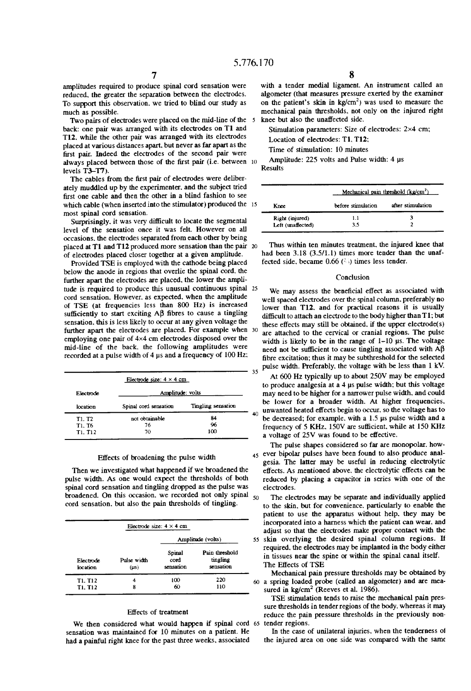$\overline{5}$ 

40

amplitudes required to produce spinal cord sensation were reduced. the greater the separation between the electrodes. To support this observation. we tried to blind our study as much as possible.

Two pairs of electrodes were placed on the mid-line of the back: one pair was arranged with its electrodes on T1 and T12. while the other pair was arranged with its electrodes placed at various distances apart. but never as far apart as the first pair. Indeed the electrodes of the second pair were always placed between those of the first pair (i.e. between 10 levels T3-T7).

The cables from the first pair of electrodes were deliberately muddled up by the experimenter. and the subject tried first one cable and then the other in a blind fashion to see which cable (when inserted into the stimulator) produced the most spinal cord sensation.

Surprisingly, it was very difficult to locate the segmental level of the sensation once it was felt. However on all occasions. the electrodes separated from each other by being placed at T1 and T12 produced more sensation than the pair 20 of electrodes placed closer together at a given amplitude.

Provided TSE is employed with the cathode being placed below the anode in regions that overlie the spinal cord. the further apart the electrodes are placed. the lower the ampli tude is required to produce this unusual continuous spinal 25 cord sensation. However. as expected. when the amplitude of TSE (at frequencies less than 800 Hz) is increased sufficiently to start exciting  $\mathsf{AB}$  fibres to cause a tingling sensation. this is less likely to occur at any given voltage the further apart the electrodes are placed. For example when 30 employing one pair of 4x4 cm electrodes disposed over the mid-line of the back. the following amplitudes were recorded at a pulse width of 4 us and a frequency of 100 Hz:

| Electrode size: $4 \times 4$ cm |                    |  |  |  |  |  |  |
|---------------------------------|--------------------|--|--|--|--|--|--|
| Amplitude: volts                |                    |  |  |  |  |  |  |
| Spinal cord sensation           | Tingling sensation |  |  |  |  |  |  |
| not obtainable                  | 84                 |  |  |  |  |  |  |
| 76                              | 96                 |  |  |  |  |  |  |
| 70                              | 100                |  |  |  |  |  |  |
|                                 |                    |  |  |  |  |  |  |

#### Effects of broadening the pulse width

Then we investigated what happened if we broadened the pulse width. As one would expect the thresholds of both spinal cord sensation and tingling dropped as the pulse was broadened. On this occasion, we recorded not only spinal  $_{50}$ cord sensation. but also the pain thresholds of tingling.

|                       |                     | Electrode size: $4 \times 4$ cm |                                         |
|-----------------------|---------------------|---------------------------------|-----------------------------------------|
|                       |                     |                                 | Amplitude (volts)                       |
| Electrode<br>location | Pulse width<br>(µs) | Spinal<br>cord<br>sensation     | Pain threshold<br>tingling<br>sensation |
| T1. T12               | 4                   | 100                             | 220                                     |
| T1, T12               | 8                   | 60                              | 110                                     |

#### Effects of treatment

We then considered what would happen if spinal cord 65 sensation was maintained for 10 minutes on a patient. He had a painful right knee for the past three weeks, associated

with a tender medial ligament. An instrument called an algometer (that measures pressure exerted by the examiner on the patient's skin in  $kg/cm<sup>2</sup>$ ) was used to measure the mechanical pain thresholds. not only on the injured right knee but also the unaffected side.

Stimulation parameters: Size of electrodes: 2x4 cm;

Location of electrodes: Tl. T12;

Time of stimulation: 10 minutes

Amplitude: 225 volts and Pulse width: 4 us Results

|                   | Mechanical pain threshold $(kg/cm2)$ |                   |  |  |  |
|-------------------|--------------------------------------|-------------------|--|--|--|
| Knee              | before stimulation                   | after stimulation |  |  |  |
| Right (injured)   | 1.1                                  | 3                 |  |  |  |
| Left (unaffected) | 3.5                                  |                   |  |  |  |

Thus within ten minutes treatment. the injured knee that had been 3.18 (3.5/1.1) times more tender than the unaffected side, became  $0.66$  ( $\geq$ ) times less tender.

#### Conclusion

pulse width. Preferably, the voltage with be less than  $1 \text{ KV}$ .<br>35 We may assess the beneficial effect as associated with well spaced electrodes over the spinal column. preferably no lower than T12. and for practical reasons it is usually difficult to attach an electrode to the body higher than T1; but these effects may still be obtained. if the upper electrode(s) are attached to the cervical or cranial regions. The pulse width is likely to be in the range of  $1-10$  us. The voltage need not be sufficient to cause tingling associated with  $A\beta$ fibre excitation; thus it may be subthreshold for the selected

At 600 Hz typically up to about 250V may be employed to produce analgesia at a 4 us pulse width; but this voltage may need to be higher for a narrower pulse width. and could be lower for a broader width. At higher frequencies. unwanted heated effects begin to occur, so the voltage has to be decreased; for example. with a 1.5 ps pulse width and a frequency of 5 KHz,  $150V$  are sufficient, while at  $150$  KHz a voltage of 25V was found to be effective.

45 ever bipolar pulses have been found to also produce anal The pulse shapes considered so far are monopolar. how gesia. The latter may be useful in reducing electrolytic effects. As mentioned above. the electrolytic effects can be reduced by placing a capacitor in series with one of the electrodes.

The electrodes may be separate and individually applied to the skin. but for convenience. particularly to enable the patient to use the apparatus without help. they may be incorporated into a harness which the patient can wear. and adjust so that the electrodes make proper contact with the

skin overlying the desired spinal column regions. It required. the electrodes may be implanted in the body either in tissues near the spine or within the spinal canal itself. The Effects of TSE

Mechanical pain pressure thresholds may be obtained by a spring loaded probe (called an algometer) and are mea sured in  $kg/cm<sup>2</sup>$  (Reeves et al. 1986).

TSE stimulation tends to raise the mechanical pain pres sure thresholds in tender regions of the body. whereas it may reduce the pain pressure thresholds in the previously non tender regions.

In the case of unilateral injuries. when the tenderness oi the injured area on one side was compared with the same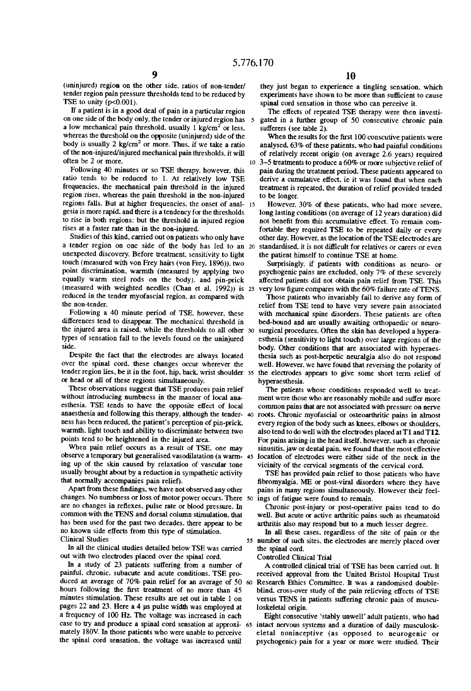(uninjured) region on the other side. ratios of non-tender/ tender region pain pressure thresholds tend to be reduced by TSE to unity  $(p<0.001)$ .

If a patient is in a good deal of pain in a particular region on one side of the body only. the tender or injured region has a low mechanical pain threshold, usually 1 kg/cm<sup>2</sup> or less. Whereas the threshold on the opposite (uninjured) side of the body is usually  $2 \text{ kg/cm}^2$  or more. Thus, if we take a ratio of the non-injured/injured mechanical pain thresholds. it will often be 2 or more.

Following 40 minutes or so TSE therapy. however. this ratio tends to be reduced to 1. At relatively low TSE frequencies. the mechanical pain threshold in the injured region rises. whereas the pain threshold in the non-injured regions falls. But at higher frequencies, the onset of anal-15 gesia is more rapid. and there is a tendency for the thresholds to rise in both regions: but the threshold in injured region rises at a faster rate than in the non-injured.

Studies of this kind. carried out on patients who only have a tender region on one side of the body has led to an 20 unexpected discovery. Before treatment. sensitivity to light touch (measured with von Frey hairs (von Frey. 1896)). two point discrimination. warmth (measured by applying two equally warm steel rods on the body). and pin-prick (measured with weighted needles (Chan et al. 1992)) is 25 reduced in the tender myofascial region. as compared with the non-tender.

Following a 40 minute period of TSE. however. these differences tend to disappear. The mechanical threshold in the injured area is raised. while the thresholds to all other types of sensation fall to the levels found on the uninjured side.

Despite the fact that the electrodes are always located over the spinal cord. these changes occur wherever the tender region lies. be it in the foot. hip. back. wrist shoulder 35 or head or all of these regions simultaneously.

These observations suggest that TSE produces pain relief without introducing numbness in the manner of local ana esthesia. TSE tends to have the opposite effect of local anaesthesia and following this therapy. although the tender ness has been reduced. the patient's perception of pin-prick. warmth. light touch and ability to discriminate between two points tend to be heightened in the injured area.

When pain relief occurs as a result of TSE. one may observe a temporary but generalised vasodilatation (a warm- 45 ing up of the skin caused by relaxation of vascular tone usually brought about by a reduction in sympathetic activity that normally accompanies pain relief).

Apart from these findings, we have not observed any other changes. No numbness or loss of motor power occurs. There are no changes in reflexes. pulse rate or blood pressure. In common with the TENS and dorsal column stimulation. that has been used for the past two decades. there appear to be no known side effects from this type of stimulation. Clinical Studies

In all the clinical studies detailed below TSE was carried out with two electrodes placed over the spinal cord.

In a study of 23 patients suffering from a number of painful. chronic. subacute and acute conditions. TSE pro duced an average of 70% pain relief for an average of 50 hours following the first treatment of no more than 45 minutes stimulation. These results are set out in table 1 on pages 22 and 23. Here a 4 ps pulse width was employed at a frequency of 100 Hz. The voltage was increased in each mately 180V. In those patients who were unable to perceive the spinal cord sensation. the voltage was increased until

they just began to experience a tingling sensation. which experiments have shown to be more than sufficient to cause spinal cord sensation in those who can perceive it.

The effects of repeated TSE therapy were then investigated in a further group of 50 consecutive chronic pain sufferers (see table 2).

When the results for the first 100 conscutive patients were analysed. 63% of these patients. who had painful conditions of relatively recent origin (on average 2.6 years) required

3-5 treatments to produce a 60% or more subjective relief of pain during the treatment period. These patients appeared to derive a cumulative effect, ie it was found that when each treatment is repeated. the duration of relief provided tended to be longer.

However. 30% of these patients. who had more severe. long lasting conditions (on average of 12 years duration) did not benefit from this accumulative effect. To remain comfortable they required TSE to be repeated daily or every other day. However. as the location of the TSE electrodes are standardised, it is not difficult for relatives or carers or even the patient himself to continue TSE at home.

Surprisingly. if patients with conditions as neuro- or psychogenic pains are excluded. only 7% of these severely affected patients did not obtain pain relief from TSE. This very low figure compares with the 60% failure rate of TENS.

Those patients who invariably fail to derive any form of relief from TSE tend to have very severe pain associated with mechanical spine disorders. These patients are often bed-bound and are usually awaiting orthopaedic or neuro surgical procedures. Often the skin has developed a hypera esthesia (sensitivity to light touch) over large regions of the body. Other conditions that are associated with hyperaes thesia such as post-herpetic neuralgia also do not respond well. However. we have found that reversing the polarity of the electrodes appears to give some short term relief of hyperaesthesia.

The patients whose conditions responded well to treat ment were those who are reasonably mobile and suffer more common pains that are not associated with pressure on nerve roots. Chronic myofascial or osteoarthritic pains in almost every region of the body such as knees. elbows or shoulders. also tend to do well with the electrodes placed at T1 and T12. For pains arising in the head itself. however. such as chronic sinusitis. jaw or dental pain. we found that the most effective location of electrodes were either side of the neck in the vicinity of the cervical segments of the cervical cord.

TSE has provided pain relief to those patients who have fibromyalgia. ME or post-viral disorders where they have pains in many regions simultaneously. However their feel ings of fatigue were found to remain.

Chronic post-injury or post-operative pains tend to do well. But acute or active arthritic pains such as rheumatoid arthritis also may respond but to a much lesser degree.

55 number of such sites. the electrodes are merely placed over In all these cases. regardless of the site of pain or the the spinal cord.

Controlled Clinical Trial

A controlled clinical trial of TSE has been carried out. It received approval from the United Bristol Hospital Trust Research Ethics Committee. It was a randomised double blind. cross-over study of the pain relieving effects of TSE versus TENS in patients suffering chronic pain of muscu loskeletal origin.

case to try and produce a spinal cord sensation at approxi- 65 intact nervous systems and a duration of daily musculosk-Eight consecutive 'stably unwell' adult patients. who had eletal noninceptive (as opposed to neurogenic or psychogenic) pain for a year or more were studied. Their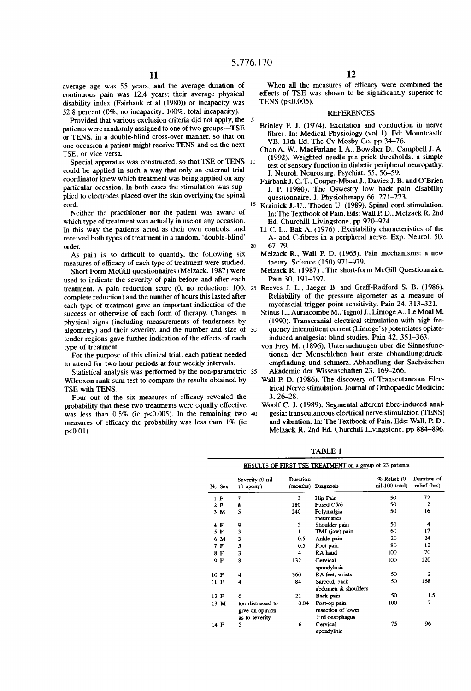5

average age was 55 years. and the average duration of continuous pain was 12.4 years: their average physical disability index (Fairbank et al (1980)) or incapacity was 52.8 percent (0%. no incapacity; 100%. total incapacity).

Provided that various exclusion criteria did not apply. the patients were randomly assigned to one of two groups-TSE or TENS. in a double-blind cross-over manner. so that on one occasion a patient might receive TENS and on the next TSE. or vice versa.

Special apparatus was constructed, so that TSE or TENS 10 could be applied in such a way that only an external trial coordinator knew which treatment was being applied on any particular occasion. In both cases the stimulation was sup plied to electrodes placed over the skin overlying the spinal cord.

Neither the practitioner nor the patient was aware of which type of treatment was actually in use on any occasion. In this way the patients acted as their own controls. and received both types of treatment in a random. 'double-blind' order.

As pain is so difficult to quantify, the following six measures of efficacy of each type of treatment were studied.

Short Form McGill questionnaires (Melzack. 1987) were used to indicate the severity of pain before and after each complete reduction) and the number of hours this lasted after each type of treatment gave an important indication of the success or otherwise of each form of therapy. Changes in physical signs (including measurements of tenderness by algometry) and their severity, and the number and size of 30 tender regions gave further indication of the effects of each type of treatment.

For the purpose of this clinical trial. each patient needed to attend for two hour periods at four weekly intervals.

Statistical analysis was performed by the non-parametric 35 Wilcoxon rank sum test to compare the results obtained by TSE with TENS.

Four out of the six measures of efficacy revealed the probability that these two treatments were equally effective was less than 0.5% (ie p<0.005). In the remaining two 40 measures of efficacy the probability was less than  $1\%$  (ie p<0.01).

When all the measures of efficacy were combined the effects of TSE was shown to be significantly superior to TENS (p<0.005).

#### REFERENCES

- Brinley F. J. (1974). Excitation and conduction in nerve fibres. In: Medical Physiology (vol 1). Ed: Mountcastle VB. 13th Ed. The Cv Mosby Co. pp 34-76.
- Chan A. W.. MacFarlane L A.. Bowsher D.. Campbell J. A. (1992). Weighted needle pin prick thresholds. a simple test of sensory function in diabetic peripheral neuropathy. J. Neurol. Neurosurg. Psychiat. 55. 56-59.
- Fairbank J. C. T.. Couper-Mboat 1.. Davies J. B. and O'Brien J. P. (1980). The Oswestry low back pain disability questionnaire. J. Physiotherapy 66. 271-273.
- <sup>15</sup> Krainick J.-U., Thoden U. (1989). Spinal cord stimulation. In: The Textbook of Pain. Eds: Wall P. D.. Melzack R. 2nd Ed. Churchill Livingstone, pp 920–924.
- 20 Li C. L.. Bak A. ( 1976) . Excitability characteristics of the A- and C-fibres in a peripheral nerve. Exp. Neurol. 50. 67-79.
	- Melzack R.. Wall P. D. (1965). Pain mechanisms: a new theory. Science (150) 971-979.
	- Melzack R. (1987) .The short-form McGill Questionnaire. Pain 30, 191-197.
- treatment. A pain reduction score (0. no reduction: 100. 25 Reeves 1. L. Jaeger B. and Graff-Radford S. B. (1986). Reliability of the pressure algometer as a measure of myofascial trigger point sensitivity. Pain 24. 313-321.
	- Stinus L., Auriacombe M., Tignol J., Limoge A., Le Moal M. (1990). Transcranial electrical stimulation with high fre quency intermittent current (Limoge's) potentiates opiateinduced analgesia: blind studies. Pain 42. 351-363.
	- von Frey M. (1896). Untersuchungen uber die Sinnesfunc tionen der Menschlchen haut erste abhandlung:druckempfindung und schmerz. Abhandlung der Sachsischen Akademie der Mssenschaften 23. 169-266.
	- Wall P. D. (1986). The discovery of Transcutaneous Elec trical Nerve stimulation. Journal of Orthopaedic Medicine 3. 26-28.
	- Woolf C. J. (1989). Segmental afferent fibre-induced analgesia: transcutaneous electrical nerve stimulation (TENS) and vibration. In: The Textbook of Pain. Eds: Wall. P. D.. Melzack R. 2nd Ed. Churchill Livingstone. pp 884-896.

TABLE 1

|      | RESULTS OF FIRST TSE TREATMENT on a group of 23 patients |                                                        |          |                                                                     |                                |                             |  |  |  |
|------|----------------------------------------------------------|--------------------------------------------------------|----------|---------------------------------------------------------------------|--------------------------------|-----------------------------|--|--|--|
|      | No Sex                                                   | Severity (0 nil -<br>$10$ agony)                       | Duration | (months) Diagnosis                                                  | % Relief (0<br>$ml-100$ total) | Duration of<br>relief (hrs) |  |  |  |
|      | ΙF                                                       | 7                                                      | 3        | Hip Pain                                                            | 50                             | 72                          |  |  |  |
|      | 2 F                                                      | 8                                                      | 180      | Fused C5/6                                                          | 50                             | $\overline{2}$              |  |  |  |
|      | 3M                                                       | 5                                                      | 240      | Polymalgia<br>rheumatica                                            | 50                             | 16                          |  |  |  |
|      | 4 F                                                      | 9                                                      | 3        | Shoulder pain                                                       | 50                             | 4                           |  |  |  |
|      | 5 F                                                      | 3                                                      | 1        | TMJ (jaw) pain                                                      | 60                             | 17                          |  |  |  |
|      | 6 M                                                      | 3                                                      | 0.5      | Ankle pain                                                          | 20                             | 24                          |  |  |  |
|      | 7 F                                                      | 5                                                      | 0.5      | Foot pain                                                           | 80                             | 12                          |  |  |  |
|      | 8 F                                                      | 3                                                      | 4        | RA hand                                                             | 100                            | 70                          |  |  |  |
|      | 9 F                                                      | 8                                                      | 132      | Cervical<br>spondylosis                                             | 100                            | 120                         |  |  |  |
| 10 F |                                                          | 4                                                      | 360      | RA feet, wrists                                                     | 50                             | $\mathbf{2}$                |  |  |  |
| 11 F |                                                          | 4                                                      | 84       | Sarcoid back                                                        | 50                             | 168                         |  |  |  |
|      |                                                          |                                                        |          | abdomen & shoulders                                                 |                                |                             |  |  |  |
| 12 F |                                                          | 6                                                      | 21       | Back pain                                                           | 50                             | 1.5                         |  |  |  |
|      | 13 M                                                     | too distressed to<br>give an opinion<br>as to severity | 0.04     | Post-op pain<br>resection of lower<br><b><i>V</i></b> rd oesophagus | 100                            | $\overline{7}$              |  |  |  |
| 14 F |                                                          | 5                                                      | 6        | Cervical<br>spondylitis                                             | 75                             | 96                          |  |  |  |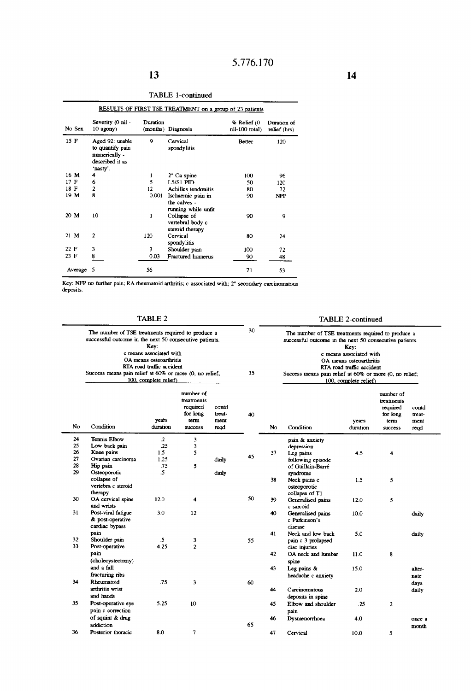|         | RESULTS OF FIRST TSE TREATMENT on a group of 23 patients                            |          |                                                          |                               |                             |  |  |  |  |
|---------|-------------------------------------------------------------------------------------|----------|----------------------------------------------------------|-------------------------------|-----------------------------|--|--|--|--|
| No Sex  | Severity (0 nil -<br>$10$ agony)                                                    | Duration | (months) Diagnosis                                       | % Relief (0<br>nil-100 total) | Duration of<br>relief (hrs) |  |  |  |  |
| 15 F    | Aged 92: unable<br>to quantify pain<br>numerically -<br>described it as<br>'nasty'. | 9        | Cervical<br>spondylitis                                  | Better                        | 120                         |  |  |  |  |
| 16 M    | 4                                                                                   | 1        | $2^{\circ}$ Ca spine                                     | 100                           | 96                          |  |  |  |  |
| 17 F    | 6                                                                                   | 5        | $L5/S1$ PID                                              | 50                            | 120                         |  |  |  |  |
| 18 F    | $\overline{\mathbf{c}}$                                                             | 12       | Achilles tendonitis                                      | 80                            | 72                          |  |  |  |  |
| 19 M    | R                                                                                   | 0.001    | Ischaemic pain in<br>the calves -<br>running while unfit | 90                            | NFP                         |  |  |  |  |
| 20 M    | 10                                                                                  | 1        | Collapse of<br>vertebral body c<br>steroid therapy       | 90                            | 9                           |  |  |  |  |
| $21$ M  | $\mathbf{c}$                                                                        | 120      | Cervical<br>spondylitis                                  | 80                            | 24                          |  |  |  |  |
| 22 F    | 3                                                                                   | 3        | Shoulder pain                                            | 100                           | 72                          |  |  |  |  |
| 23 F    | 8                                                                                   | 0.03     | Fractured humerus                                        | 90                            | 48                          |  |  |  |  |
| Average | 5                                                                                   | 56       |                                                          | 71                            | 53                          |  |  |  |  |

TABLE l-continued

Key: NFP no further pain; RA rheumatoid arthritis; c associated with; 2° secondary carcinomatous deposits.

TABLE 2

# TABLE 2-c0ntinued

|          | The number of TSE treatments required to produce a<br>successful outcome in the next 50 consecutive patients.<br>Kev:<br>c means associated with<br>OA means osteoarthritis<br>RTA road traffic accident<br>Success means pain relief at 60% or more (0, no relief;<br>100, complete relief) |                        |                                                                           |                                 | 30<br>35 | The number of TSE treatments required to produce a<br>successful outcome in the next 50 consecutive patients.<br>Key:<br>c means associated with<br>OA means osteoarthritis<br>RTA road traffic accident<br>Success means pain relief at 60% or more (0, no relief;<br>100, complete relief) |                                                            |                   |                                                                           |                                 |
|----------|----------------------------------------------------------------------------------------------------------------------------------------------------------------------------------------------------------------------------------------------------------------------------------------------|------------------------|---------------------------------------------------------------------------|---------------------------------|----------|----------------------------------------------------------------------------------------------------------------------------------------------------------------------------------------------------------------------------------------------------------------------------------------------|------------------------------------------------------------|-------------------|---------------------------------------------------------------------------|---------------------------------|
| No       | Condition                                                                                                                                                                                                                                                                                    | vears<br>duration      | number of<br>treatments<br>required<br>for long<br>term<br><b>SUCCESS</b> | contd<br>treat-<br>ment<br>read | 40       | No                                                                                                                                                                                                                                                                                           | Condition                                                  | years<br>duration | number of<br>treatments<br>required<br>for long<br>term<br><b>SUCCESS</b> | contd<br>treat-<br>ment<br>regd |
| 24       | Tennis Elbow                                                                                                                                                                                                                                                                                 | $\cdot$                | 3                                                                         |                                 |          |                                                                                                                                                                                                                                                                                              | pain & anxiety                                             |                   |                                                                           |                                 |
| 25       | Low back pain                                                                                                                                                                                                                                                                                | .25                    | 3                                                                         |                                 |          |                                                                                                                                                                                                                                                                                              | depression                                                 |                   |                                                                           |                                 |
| 26       | Knee pains                                                                                                                                                                                                                                                                                   | 1.5                    | 5                                                                         |                                 | 45       | 37                                                                                                                                                                                                                                                                                           | Leg pains                                                  | 4.5               | 4                                                                         |                                 |
| 27       | Ovarian carcinoma                                                                                                                                                                                                                                                                            | 1.25                   |                                                                           | daily                           |          |                                                                                                                                                                                                                                                                                              | following episode                                          |                   |                                                                           |                                 |
| 28       | Hip pain                                                                                                                                                                                                                                                                                     | .75                    | 5                                                                         |                                 |          |                                                                                                                                                                                                                                                                                              | of Guillain-Barré                                          |                   |                                                                           |                                 |
| 29       | Osteoporotic<br>collapse of<br>vertebra c steroid<br>therapy                                                                                                                                                                                                                                 | .5                     |                                                                           | daily                           |          | 38                                                                                                                                                                                                                                                                                           | syndrome<br>Neck pains c<br>osteoporotic<br>collapse of T1 | 1.5               | 5                                                                         |                                 |
| 30       | OA cervical spine<br>and wrists                                                                                                                                                                                                                                                              | 12.0                   | 4                                                                         |                                 | 50       | 39                                                                                                                                                                                                                                                                                           | Generalised pains<br>c sarcoid                             | 12.0              | 5.                                                                        |                                 |
| 31       | Post-viral fatigue<br>& post-operative<br>cardiac bypass                                                                                                                                                                                                                                     | 3.0                    | 12                                                                        |                                 |          | 40                                                                                                                                                                                                                                                                                           | Generalised pains<br>c Parkinson's<br>disease              | 10.0              |                                                                           | daily                           |
|          | pain                                                                                                                                                                                                                                                                                         |                        |                                                                           |                                 |          | 41                                                                                                                                                                                                                                                                                           | Neck and low back                                          | 5.0               |                                                                           | daily                           |
| 32<br>33 | Shoulder pain<br>Post-operative                                                                                                                                                                                                                                                              | $\mathfrak{I}$<br>4.25 | 3<br>$\overline{2}$                                                       |                                 | 55       |                                                                                                                                                                                                                                                                                              | pain c 3 prolapsed<br>disc injuries                        |                   |                                                                           |                                 |
|          | pain<br>(cholecystectomy)                                                                                                                                                                                                                                                                    |                        |                                                                           |                                 |          | 42                                                                                                                                                                                                                                                                                           | OA neck and lumbar<br>spine                                | 11.0              | 8                                                                         |                                 |
|          | and a fall                                                                                                                                                                                                                                                                                   |                        |                                                                           |                                 |          | 43                                                                                                                                                                                                                                                                                           | Leg pains &                                                | 15.0              |                                                                           | alter-                          |
|          | fracturing ribs                                                                                                                                                                                                                                                                              |                        |                                                                           |                                 |          |                                                                                                                                                                                                                                                                                              | headache c anxiety                                         |                   |                                                                           | nate                            |
| 34       | Rheumatoid                                                                                                                                                                                                                                                                                   | .75                    | 3                                                                         |                                 | 60       |                                                                                                                                                                                                                                                                                              |                                                            |                   |                                                                           | days                            |
|          | arthritis wrist<br>and hands                                                                                                                                                                                                                                                                 |                        |                                                                           |                                 |          | 44                                                                                                                                                                                                                                                                                           | Carcinomatous<br>deposits in spine                         | 2.0               |                                                                           | daily                           |
| 35       | Post-operative eye<br>pain c correction                                                                                                                                                                                                                                                      | 5.25                   | 10                                                                        |                                 |          | 45                                                                                                                                                                                                                                                                                           | Elbow and shoulder<br>pain                                 | .25               | $\overline{2}$                                                            |                                 |
|          | of squint & drug                                                                                                                                                                                                                                                                             |                        |                                                                           |                                 |          | 46                                                                                                                                                                                                                                                                                           | Dysmenorrhoea                                              | 4.0               |                                                                           | once a                          |
|          | addiction                                                                                                                                                                                                                                                                                    |                        |                                                                           |                                 | 65       |                                                                                                                                                                                                                                                                                              |                                                            |                   |                                                                           | month                           |
| 36       | Posterior thoracic                                                                                                                                                                                                                                                                           | 8.0                    | 7                                                                         |                                 |          | 47                                                                                                                                                                                                                                                                                           | Cervical                                                   | 10.0              | 5                                                                         |                                 |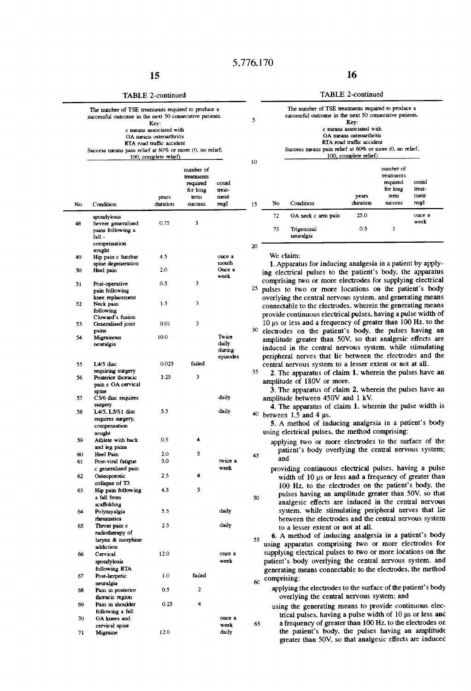#### TABLE 2-continued

| The number of TSE treatments required to produce a<br>successful outcome in the next 50 consecutive patients. |
|---------------------------------------------------------------------------------------------------------------|
|                                                                                                               |
| Key:                                                                                                          |
| c means associated with                                                                                       |
| OA means osteoarthritis                                                                                       |
| RTA mad traffic accident                                                                                      |
| Success means pain relief at 60% or more (0, no relief;                                                       |
| 100, complete relief)                                                                                         |

|    |                                                                    | years    | нцшки оп<br>treatments<br>required<br>for long<br>term | contd<br>treat-<br>ment              |    | No          | Condition                                                                                                                                                                            | years<br>duration | treatments<br>required<br>for long<br>term<br>success | contd<br>treat-<br>ment<br>read |
|----|--------------------------------------------------------------------|----------|--------------------------------------------------------|--------------------------------------|----|-------------|--------------------------------------------------------------------------------------------------------------------------------------------------------------------------------------|-------------------|-------------------------------------------------------|---------------------------------|
| No | Condition                                                          | duration | success                                                | read                                 | 15 |             |                                                                                                                                                                                      |                   |                                                       |                                 |
| 48 | spondylosis<br>Severe generalised<br>pains following a             | 0.75     | 3                                                      |                                      |    | 72<br>73    | OA neck c arm pain<br>Trigeminal<br>neuralgia                                                                                                                                        | 25.0<br>0.5       | 1                                                     | once a<br>week                  |
|    | fall -<br>compensation<br>sought                                   |          |                                                        |                                      | 20 |             |                                                                                                                                                                                      |                   |                                                       |                                 |
| 49 | Hip pain c lumbar<br>spine degeneration                            | 4.5      |                                                        | once a<br>month                      |    |             | We claim:<br>1. Apparatus for inducing analgesia in a patient by apply-                                                                                                              |                   |                                                       |                                 |
| 50 | Heel pain                                                          | 2.0      |                                                        | Once a<br>week                       |    |             | ing electrical pulses to the patient's body, the apparatus                                                                                                                           |                   |                                                       |                                 |
| 51 | Post-operative<br>pain following<br>knee replacement               | 0.5      | 3                                                      |                                      |    |             | comprising two or more electrodes for supplying electrical<br>25 pulses to two or more locations on the patient's body<br>overlying the central nervous system, and generating means |                   |                                                       |                                 |
| 52 | Neck pain<br>following<br>Cloward's fusion                         | 1.5      | 3                                                      |                                      |    |             | connectable to the electrodes, wherein the generating means<br>provide continuous electrical pulses, having a pulse width of                                                         |                   |                                                       |                                 |
| 53 | Generalised joint<br>pains                                         | 0.01     | 3                                                      |                                      |    |             | 10 us or less and a frequency of greater than 100 Hz. to the<br>30 electrodes on the patient's body, the pulses having an                                                            |                   |                                                       |                                 |
| 54 | Migrainous<br>neuralgia                                            | 10.0     |                                                        | Twice<br>daily<br>during<br>episodes |    |             | amplitude greater than 50V, so that analgesic effects are<br>induced in the central nervous system. while stimulating<br>peripheral nerves that lie between the electrodes and the   |                   |                                                       |                                 |
| 55 | L4/5 disc<br>requiring surgery                                     | 0.025    | failed                                                 |                                      | 35 |             | central nervous system to a lesser extent or not at all.<br>2. The apparatus of claim 1, wherein the pulses have an                                                                  |                   |                                                       |                                 |
| 56 | Posterior thoracic<br>pain c OA cervical<br>spine                  | 3.25     | 3                                                      |                                      |    |             | amplitude of 180V or more.<br>3. The apparatus of claim 2, wherein the pulses have an                                                                                                |                   |                                                       |                                 |
| 57 | C5/6 disc requires<br>surgery                                      |          |                                                        | daily                                |    |             | amplitude between 450V and 1 kV.<br>4. The apparatus of claim 1, wherein the pulse width is                                                                                          |                   |                                                       |                                 |
| 58 | L4/5, L5/S1 disc<br>requires surgery.<br>compensation<br>sought    | 5.5      |                                                        | daily                                |    |             | $40$ between 1.5 and 4 us.<br>5. A method of inducing analgesia in a patient's body<br>using electrical pulses, the method comprising:                                               |                   |                                                       |                                 |
| 59 | Athlete with back<br>and leg pains                                 | 0.5      | 4                                                      |                                      |    |             | applying two or more electrodes to the surface of the<br>patient's body overlying the central nervous system;                                                                        |                   |                                                       |                                 |
| 60 | Heel Pain                                                          | 2.0      | 5                                                      |                                      | 45 | and         |                                                                                                                                                                                      |                   |                                                       |                                 |
| 61 | Post-viral fatigue                                                 | 3.0      |                                                        | twice a                              |    |             |                                                                                                                                                                                      |                   |                                                       |                                 |
| 62 | c generalised pain<br>Osteoporotic                                 | 2.5      | 4                                                      | week                                 |    |             | providing continuous electrical pulses, having a pulse<br>width of 10 us or less and a frequency of greater than                                                                     |                   |                                                       |                                 |
| 63 | collapse of T3<br>Hip pain following                               | 4.5      | 5                                                      |                                      |    |             | 100 Hz, to the electrodes on the patient's body, the                                                                                                                                 |                   |                                                       |                                 |
|    | a fall from<br>scaffolding                                         |          |                                                        |                                      | 50 |             | pulses having an amplitude greater than 50V, so that<br>analgesic effects are induced in the central nervous                                                                         |                   |                                                       |                                 |
| 64 | Polymyalgia<br>rheumatica                                          | 5.5      |                                                        | daily                                |    |             | system, while stimulating peripheral nerves that lie<br>between the electrodes and the central nervous system                                                                        |                   |                                                       |                                 |
| 65 | Throat pain c<br>radiotherapy of<br>larynx & morphine<br>addiction | 2.5      |                                                        | daily                                | 55 |             | to a lesser extent or not at all.<br>6. A method of inducing analgesia in a patient's body<br>using apparatus comprising two or more electrodes for                                  |                   |                                                       |                                 |
| 66 | Cervical<br>spondylosis                                            | 12.0     |                                                        | once a<br>week                       |    |             | supplying electrical pulses to two or more locations on the<br>patient's body overlying the central nervous system, and                                                              |                   |                                                       |                                 |
| 67 | following RTA<br>Post-herpetic                                     | 1.0      | failed                                                 |                                      | 60 | comprising: | generating means connectable to the electrodes, the method                                                                                                                           |                   |                                                       |                                 |
| 68 | neuralgia<br>Pain in posterior<br>thoracic region                  | 0.5      | 2                                                      |                                      |    |             | applying the electrodes to the surface of the patient's body<br>overlying the central nervous system; and                                                                            |                   |                                                       |                                 |
| 69 | Pain in shoulder<br>following a fall                               | 0.25     | 4                                                      |                                      |    |             | using the generating means to provide continuous elec-                                                                                                                               |                   |                                                       |                                 |
| 70 | OA knees and                                                       |          |                                                        | once a<br>week                       | 65 |             | trical pulses, having a pulse width of 10 us or less and<br>a frequency of greater than 100 Hz, to the electrodes on                                                                 |                   |                                                       |                                 |
| 71 | cervical spine<br>Migraine                                         | 12.0     |                                                        | daily                                |    |             | the patient's body, the pulses having an amplitude                                                                                                                                   |                   |                                                       |                                 |

|    | The number of TSE treatments required to produce a<br>successful outcome in the next 50 consecutive patients.<br>Kev:<br>c means associated with<br>OA means osteoarthritis<br>RTA road traffic accident<br>Success means pain relief at 60% or more (0, no relief;<br>100, complete relief) |                   |                                                                    |                                 | 5<br>10 | The number of TSE treatments required to produce a<br>successful outcome in the next 50 consecutive patients.<br>Key:<br>c means associated with<br>OA means osteoarthritis<br>RTA road traffic accident<br>Success means pain relief at 60% or more (0, no relief;<br>100, complete relief) |                         |                   |                                                                           |                                 |  |
|----|----------------------------------------------------------------------------------------------------------------------------------------------------------------------------------------------------------------------------------------------------------------------------------------------|-------------------|--------------------------------------------------------------------|---------------------------------|---------|----------------------------------------------------------------------------------------------------------------------------------------------------------------------------------------------------------------------------------------------------------------------------------------------|-------------------------|-------------------|---------------------------------------------------------------------------|---------------------------------|--|
| No | Condition                                                                                                                                                                                                                                                                                    | vears<br>duration | number of<br>treatments<br>required<br>for long<br>term<br>success | contd<br>treat-<br>ment<br>read | 15      | No                                                                                                                                                                                                                                                                                           | Condition               | vears<br>duration | number of<br>treatments<br>required<br>for long<br>term<br><b>success</b> | contd<br>treat-<br>ment<br>read |  |
| 48 | spondylosis<br>Severe generalised                                                                                                                                                                                                                                                            | 0.75              | 3                                                                  |                                 |         | 72                                                                                                                                                                                                                                                                                           | OA neck c arm pain      | 25.0              |                                                                           | once a<br>week                  |  |
|    | pains following a<br>fall -                                                                                                                                                                                                                                                                  |                   |                                                                    |                                 |         | 73                                                                                                                                                                                                                                                                                           | Trigeminal<br>neuralgia | 0.5               |                                                                           |                                 |  |

- <sup>25</sup> pulses to two or more locations on the patient's body overlying the central nervous system, and generating means connectable to the electrodes. wherein the generating means provide continuous electrical pulses. having a pulse width of  $10 \mu s$  or less and a frequency of greater than 100 Hz. to the
- 30 electrodes on the patient's body, the pulses having an amplitude greater than 50V. so that analgesic effects are induced in the central nervous system. while stimulating peripheral nerves that lie between the electrodes and the
- 65 Illies a lesser extent or not at all.<br>35 2. The apparatus of claim 1. wherein the pulses have an amplitude of 180V or more.
	- 3. The apparatus of claim 2. wherein the pulses have an amplitude between  $450V$  and 1 kV.
- 4. The apparatus of claim 1, wherein the pulse width is  $40$  between 1.5 and 4  $\mu$ s.
	- using electrical pulses, the method comprising:
- applying two or more electrodes to the surface of the patient's body overlying the central nervous system;
- providing continuous electrical pulses. having a pulse width of 10 us or less and a frequency of greater than  $100 \text{ Hz}$ , to the electrodes on the patient's body, the  $\frac{1}{50}$  pulses having an amplitude greater than  $\frac{1}{50}$ . So that

a frequency of greater than 100 Hz. to the electrodes on the patient's body, the pulses having an amplitude greater than 50V. so that analgesic effects are induced